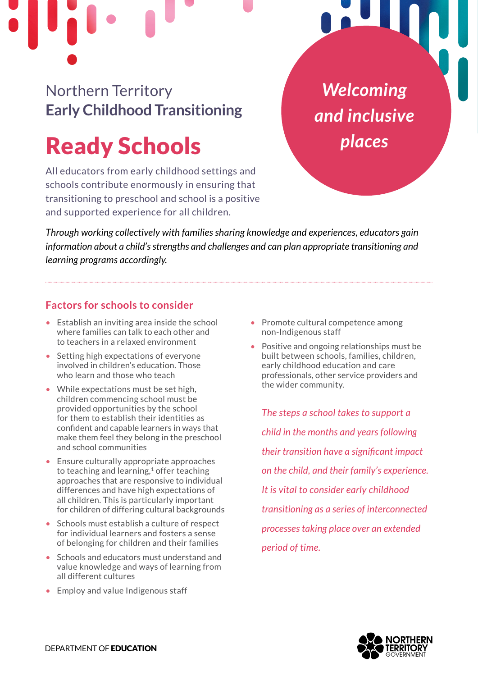Northern Territory **Early Childhood Transitioning** 

# Ready Schools

All educators from early childhood settings and schools contribute enormously in ensuring that transitioning to preschool and school is a positive and supported experience for all children.

*Welcoming and inclusive places*

*Through working collectively with families sharing knowledge and experiences, educators gain information about a child's strengths and challenges and can plan appropriate transitioning and learning programs accordingly.* 

### **Factors for schools to consider**

- Establish an inviting area inside the school where families can talk to each other and to teachers in a relaxed environment
- Setting high expectations of everyone involved in children's education. Those who learn and those who teach
- While expectations must be set high, children commencing school must be provided opportunities by the school for them to establish their identities as confident and capable learners in ways that make them feel they belong in the preschool and school communities
- Ensure culturally appropriate approaches to teaching and learning, $1$  offer teaching approaches that are responsive to individual differences and have high expectations of all children. This is particularly important for children of differing cultural backgrounds
- Schools must establish a culture of respect for individual learners and fosters a sense of belonging for children and their families
- Schools and educators must understand and value knowledge and ways of learning from all different cultures
- Employ and value Indigenous staff
- Promote cultural competence among non-Indigenous staff
- Positive and ongoing relationships must be built between schools, families, children, early childhood education and care professionals, other service providers and the wider community.

*The steps a school takes to support a child in the months and years following their transition have a significant impact on the child, and their family's experience. It is vital to consider early childhood transitioning as a series of interconnected processes taking place over an extended period of time.*